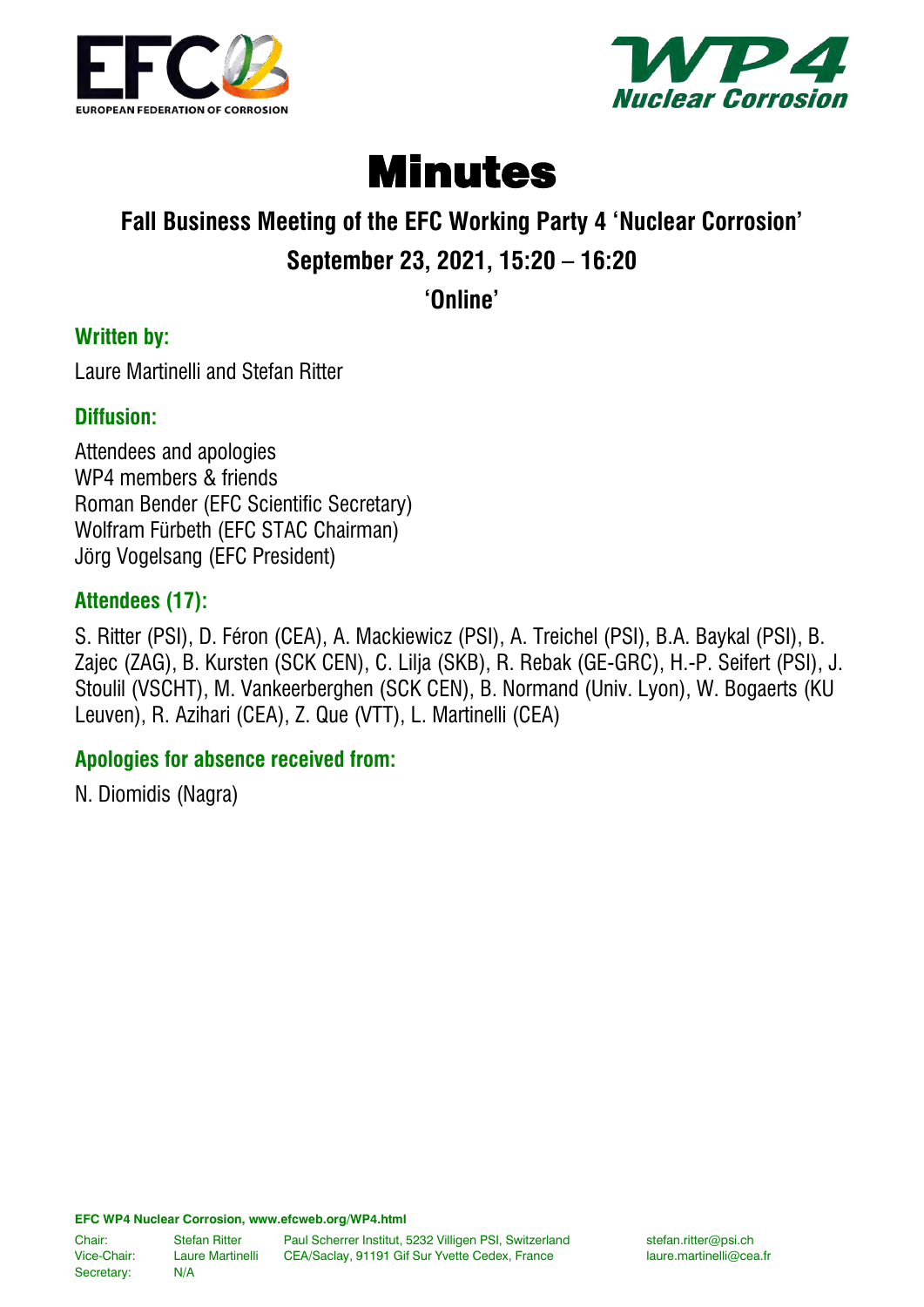



# Minutes

## **Fall Business Meeting of the EFC Working Party 4 'Nuclear Corrosion' September 23, 2021, 15:20 – 16:20**

**'Online'**

#### **Written by:**

Laure Martinelli and Stefan Ritter

#### **Diffusion:**

Attendees and apologies WP4 members & friends Roman Bender (EFC Scientific Secretary) Wolfram Fürbeth (EFC STAC Chairman) Jörg Vogelsang (EFC President)

#### **Attendees (17):**

S. Ritter (PSI), D. Féron (CEA), A. Mackiewicz (PSI), A. Treichel (PSI), B.A. Baykal (PSI), B. Zajec (ZAG), B. Kursten (SCK CEN), C. Lilja (SKB), R. Rebak (GE-GRC), H.-P. Seifert (PSI), J. Stoulil (VSCHT), M. Vankeerberghen (SCK CEN), B. Normand (Univ. Lyon), W. Bogaerts (KU Leuven), R. Azihari (CEA), Z. Que (VTT), L. Martinelli (CEA)

#### **Apologies for absence received from:**

N. Diomidis (Nagra)

**EFC WP4 Nuclear Corrosion, www.efcweb.org/WP4.html**

Chair: Stefan Ritter Paul Scherrer Institut, 5232 Villigen PSI, Switzerland stefan.ritter@psi.ch<br>Vice-Chair: Laure Martinelli CEA/Saclay, 91191 Gif Sur Yvette Cedex, France and laure.martinelli@cea.fr Vice-Chair: Laure Martinelli CEA/Saclay, 91191 Gif Sur Yvette Cedex, France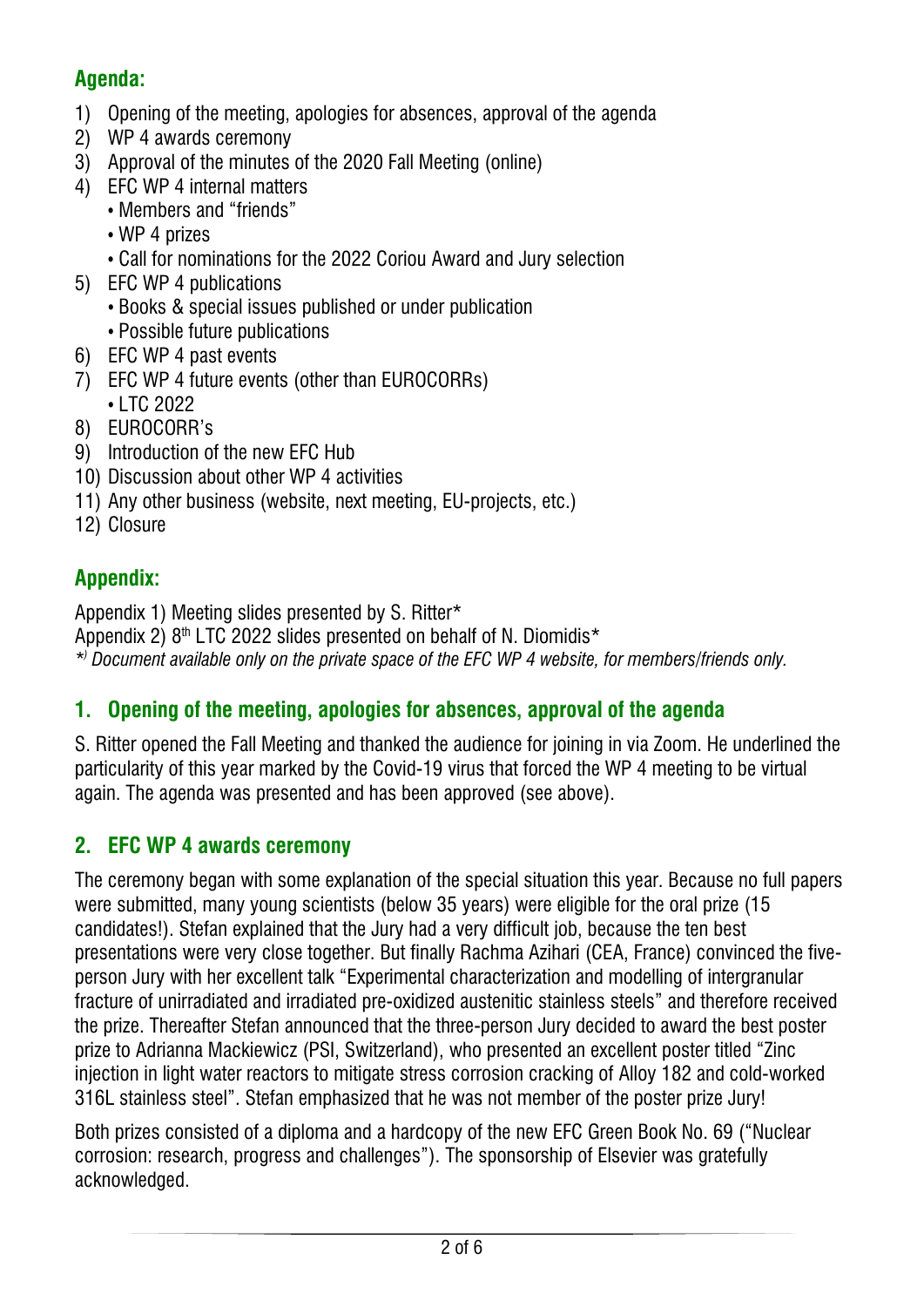#### **Agenda:**

- 1) Opening of the meeting, apologies for absences, approval of the agenda
- 2) WP 4 awards ceremony
- 3) Approval of the minutes of the 2020 Fall Meeting (online)
- 4) EFC WP 4 internal matters
	- Members and "friends"
	- WP 4 prizes
	- Call for nominations for the 2022 Coriou Award and Jury selection
- 5) EFC WP 4 publications
	- Books & special issues published or under publication
	- Possible future publications
- 6) EFC WP 4 past events
- 7) EFC WP 4 future events (other than EUROCORRs) • LTC 2022
- 8) EUROCORR's
- 9) Introduction of the new EFC Hub
- 10) Discussion about other WP 4 activities
- 11) Any other business (website, next meeting, EU-projects, etc.)
- 12) Closure

## **Appendix:**

Appendix 1) Meeting slides presented by S. Ritter\*

Appendix 2)  $8<sup>th</sup>$  LTC 2022 slides presented on behalf of N. Diomidis<sup>\*</sup>

*\*) Document available only on the private space of the EFC WP 4 website, for members/friends only.*

## **1. Opening of the meeting, apologies for absences, approval of the agenda**

S. Ritter opened the Fall Meeting and thanked the audience for joining in via Zoom. He underlined the particularity of this year marked by the Covid-19 virus that forced the WP 4 meeting to be virtual again. The agenda was presented and has been approved (see above).

## **2. EFC WP 4 awards ceremony**

The ceremony began with some explanation of the special situation this year. Because no full papers were submitted, many young scientists (below 35 years) were eligible for the oral prize (15 candidates!). Stefan explained that the Jury had a very difficult job, because the ten best presentations were very close together. But finally Rachma Azihari (CEA, France) convinced the fiveperson Jury with her excellent talk "Experimental characterization and modelling of intergranular fracture of unirradiated and irradiated pre-oxidized austenitic stainless steels" and therefore received the prize. Thereafter Stefan announced that the three-person Jury decided to award the best poster prize to Adrianna Mackiewicz (PSI, Switzerland), who presented an excellent poster titled "Zinc injection in light water reactors to mitigate stress corrosion cracking of Alloy 182 and cold-worked 316L stainless steel". Stefan emphasized that he was not member of the poster prize Jury!

Both prizes consisted of a diploma and a hardcopy of the new EFC Green Book No. 69 ("Nuclear corrosion: research, progress and challenges"). The sponsorship of Elsevier was gratefully acknowledged.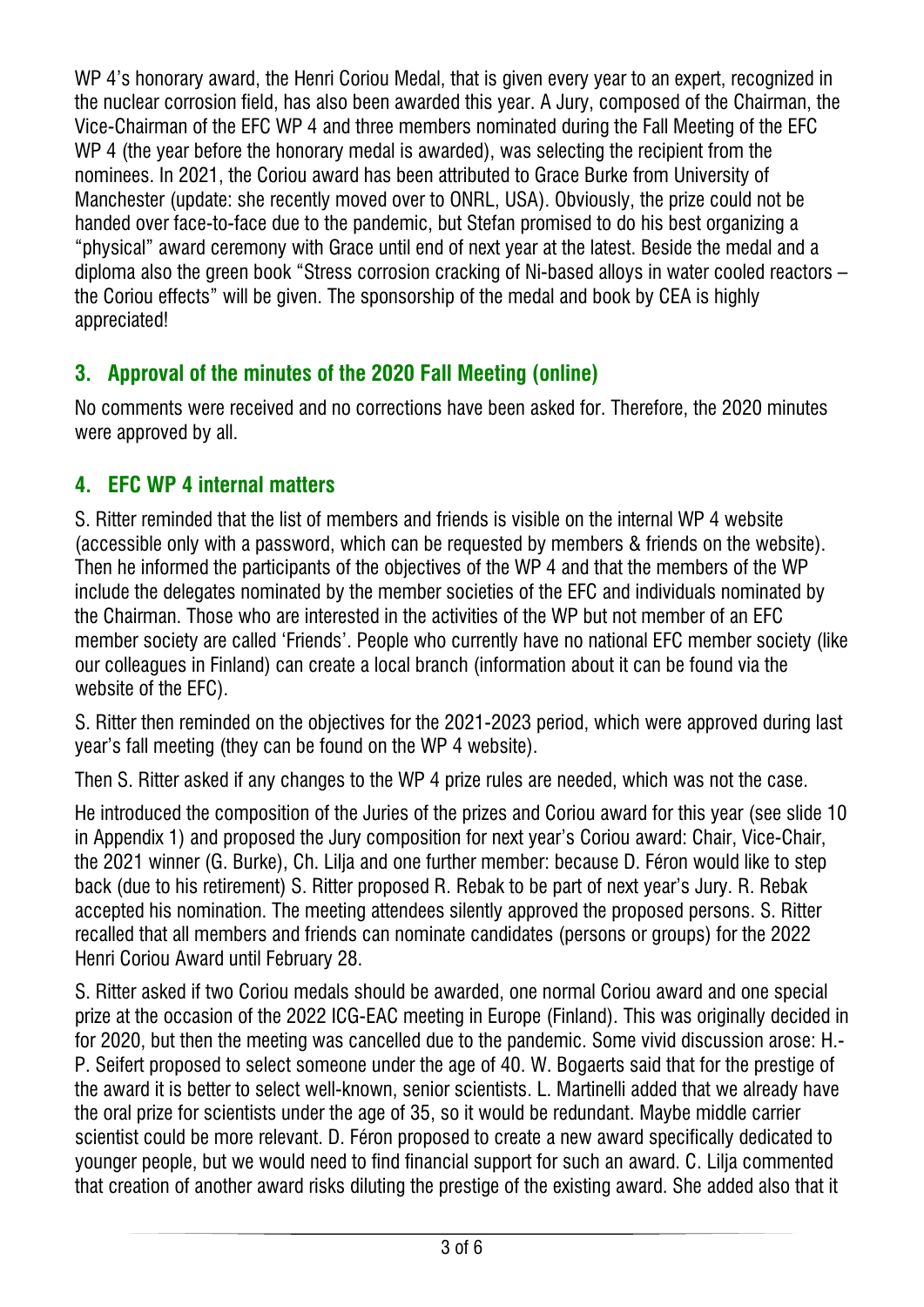WP 4's honorary award, the Henri Coriou Medal, that is given every year to an expert, recognized in the nuclear corrosion field, has also been awarded this year. A Jury, composed of the Chairman, the Vice-Chairman of the EFC WP 4 and three members nominated during the Fall Meeting of the EFC WP 4 (the year before the honorary medal is awarded), was selecting the recipient from the nominees. In 2021, the Coriou award has been attributed to Grace Burke from University of Manchester (update: she recently moved over to ONRL, USA). Obviously, the prize could not be handed over face-to-face due to the pandemic, but Stefan promised to do his best organizing a "physical" award ceremony with Grace until end of next year at the latest. Beside the medal and a diploma also the green book "Stress corrosion cracking of Ni-based alloys in water cooled reactors – the Coriou effects" will be given. The sponsorship of the medal and book by CEA is highly appreciated!

## **3. Approval of the minutes of the 2020 Fall Meeting (online)**

No comments were received and no corrections have been asked for. Therefore, the 2020 minutes were approved by all.

## **4. EFC WP 4 internal matters**

S. Ritter reminded that the list of members and friends is visible on the internal WP 4 website (accessible only with a password, which can be requested by members & friends on the website). Then he informed the participants of the objectives of the WP 4 and that the members of the WP include the delegates nominated by the member societies of the EFC and individuals nominated by the Chairman. Those who are interested in the activities of the WP but not member of an EFC member society are called 'Friends'. People who currently have no national EFC member society (like our colleagues in Finland) can create a local branch (information about it can be found via the website of the EFC).

S. Ritter then reminded on the objectives for the 2021-2023 period, which were approved during last year's fall meeting (they can be found on the WP 4 website).

Then S. Ritter asked if any changes to the WP 4 prize rules are needed, which was not the case.

He introduced the composition of the Juries of the prizes and Coriou award for this year (see slide 10 in Appendix 1) and proposed the Jury composition for next year's Coriou award: Chair, Vice-Chair, the 2021 winner (G. Burke), Ch. Lilja and one further member: because D. Féron would like to step back (due to his retirement) S. Ritter proposed R. Rebak to be part of next year's Jury. R. Rebak accepted his nomination. The meeting attendees silently approved the proposed persons. S. Ritter recalled that all members and friends can nominate candidates (persons or groups) for the 2022 Henri Coriou Award until February 28.

S. Ritter asked if two Coriou medals should be awarded, one normal Coriou award and one special prize at the occasion of the 2022 ICG-EAC meeting in Europe (Finland). This was originally decided in for 2020, but then the meeting was cancelled due to the pandemic. Some vivid discussion arose: H.- P. Seifert proposed to select someone under the age of 40. W. Bogaerts said that for the prestige of the award it is better to select well-known, senior scientists. L. Martinelli added that we already have the oral prize for scientists under the age of 35, so it would be redundant. Maybe middle carrier scientist could be more relevant. D. Féron proposed to create a new award specifically dedicated to younger people, but we would need to find financial support for such an award. C. Lilja commented that creation of another award risks diluting the prestige of the existing award. She added also that it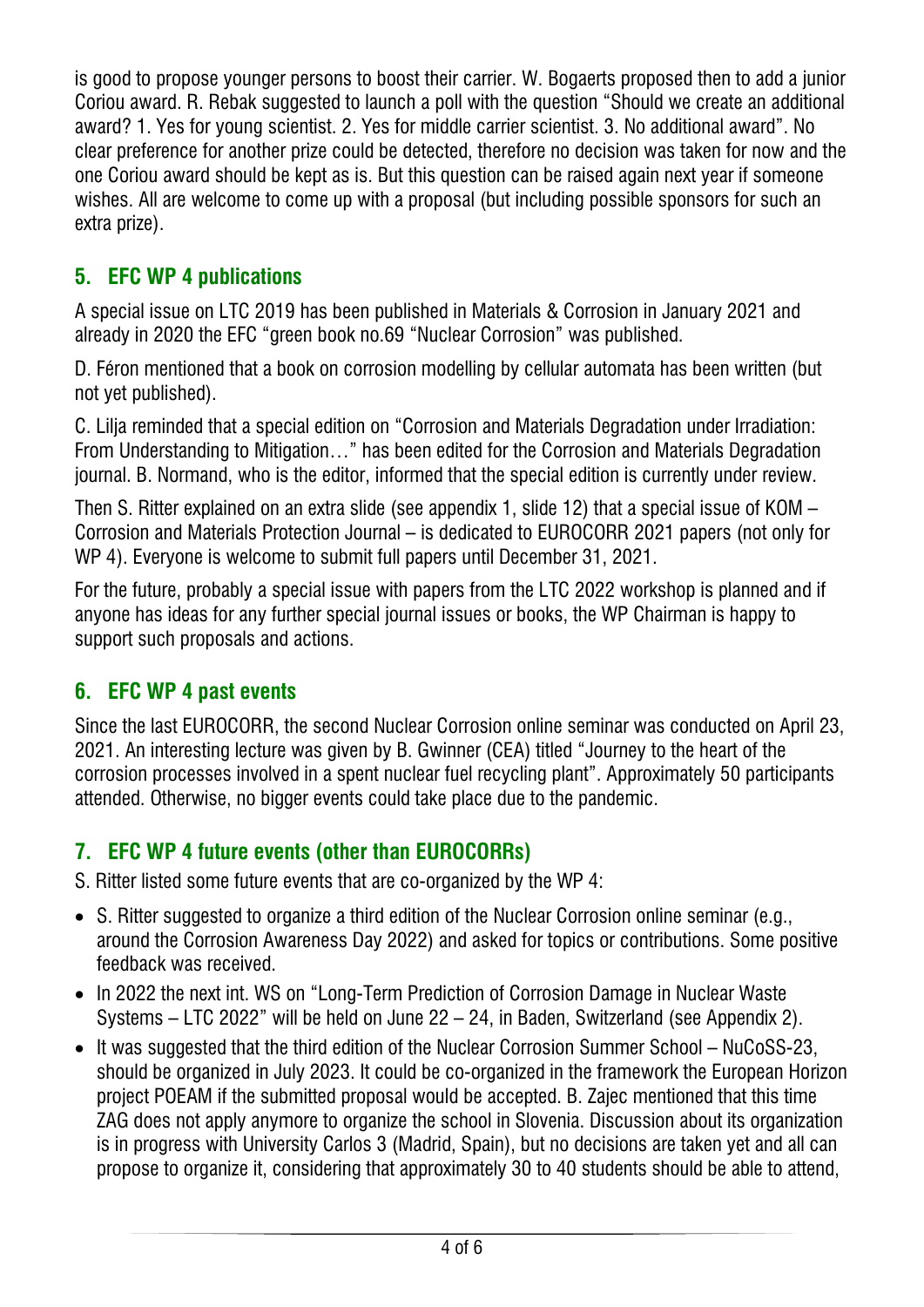is good to propose younger persons to boost their carrier. W. Bogaerts proposed then to add a junior Coriou award. R. Rebak suggested to launch a poll with the question "Should we create an additional award? 1. Yes for young scientist. 2. Yes for middle carrier scientist. 3. No additional award". No clear preference for another prize could be detected, therefore no decision was taken for now and the one Coriou award should be kept as is. But this question can be raised again next year if someone wishes. All are welcome to come up with a proposal (but including possible sponsors for such an extra prize).

## **5. EFC WP 4 publications**

A special issue on LTC 2019 has been published in Materials & Corrosion in January 2021 and already in 2020 the EFC "green book no.69 "Nuclear Corrosion" was published.

D. Féron mentioned that a book on corrosion modelling by cellular automata has been written (but not yet published).

C. Lilja reminded that a special edition on "Corrosion and Materials Degradation under Irradiation: From Understanding to Mitigation…" has been edited for the Corrosion and Materials Degradation journal. B. Normand, who is the editor, informed that the special edition is currently under review.

Then S. Ritter explained on an extra slide (see appendix 1, slide 12) that a special issue of KOM – Corrosion and Materials Protection Journal – is dedicated to EUROCORR 2021 papers (not only for WP 4). Everyone is welcome to submit full papers until December 31, 2021.

For the future, probably a special issue with papers from the LTC 2022 workshop is planned and if anyone has ideas for any further special journal issues or books, the WP Chairman is happy to support such proposals and actions.

### **6. EFC WP 4 past events**

Since the last EUROCORR, the second Nuclear Corrosion online seminar was conducted on April 23, 2021. An interesting lecture was given by B. Gwinner (CEA) titled "Journey to the heart of the corrosion processes involved in a spent nuclear fuel recycling plant". Approximately 50 participants attended. Otherwise, no bigger events could take place due to the pandemic.

## **7. EFC WP 4 future events (other than EUROCORRs)**

S. Ritter listed some future events that are co-organized by the WP 4:

- S. Ritter suggested to organize a third edition of the Nuclear Corrosion online seminar (e.g., around the Corrosion Awareness Day 2022) and asked for topics or contributions. Some positive feedback was received.
- In 2022 the next int. WS on "Long-Term Prediction of Corrosion Damage in Nuclear Waste Systems – LTC 2022" will be held on June 22 – 24, in Baden, Switzerland (see Appendix 2).
- It was suggested that the third edition of the Nuclear Corrosion Summer School NuCoSS-23, should be organized in July 2023. It could be co-organized in the framework the European Horizon project POEAM if the submitted proposal would be accepted. B. Zajec mentioned that this time ZAG does not apply anymore to organize the school in Slovenia. Discussion about its organization is in progress with University Carlos 3 (Madrid, Spain), but no decisions are taken yet and all can propose to organize it, considering that approximately 30 to 40 students should be able to attend,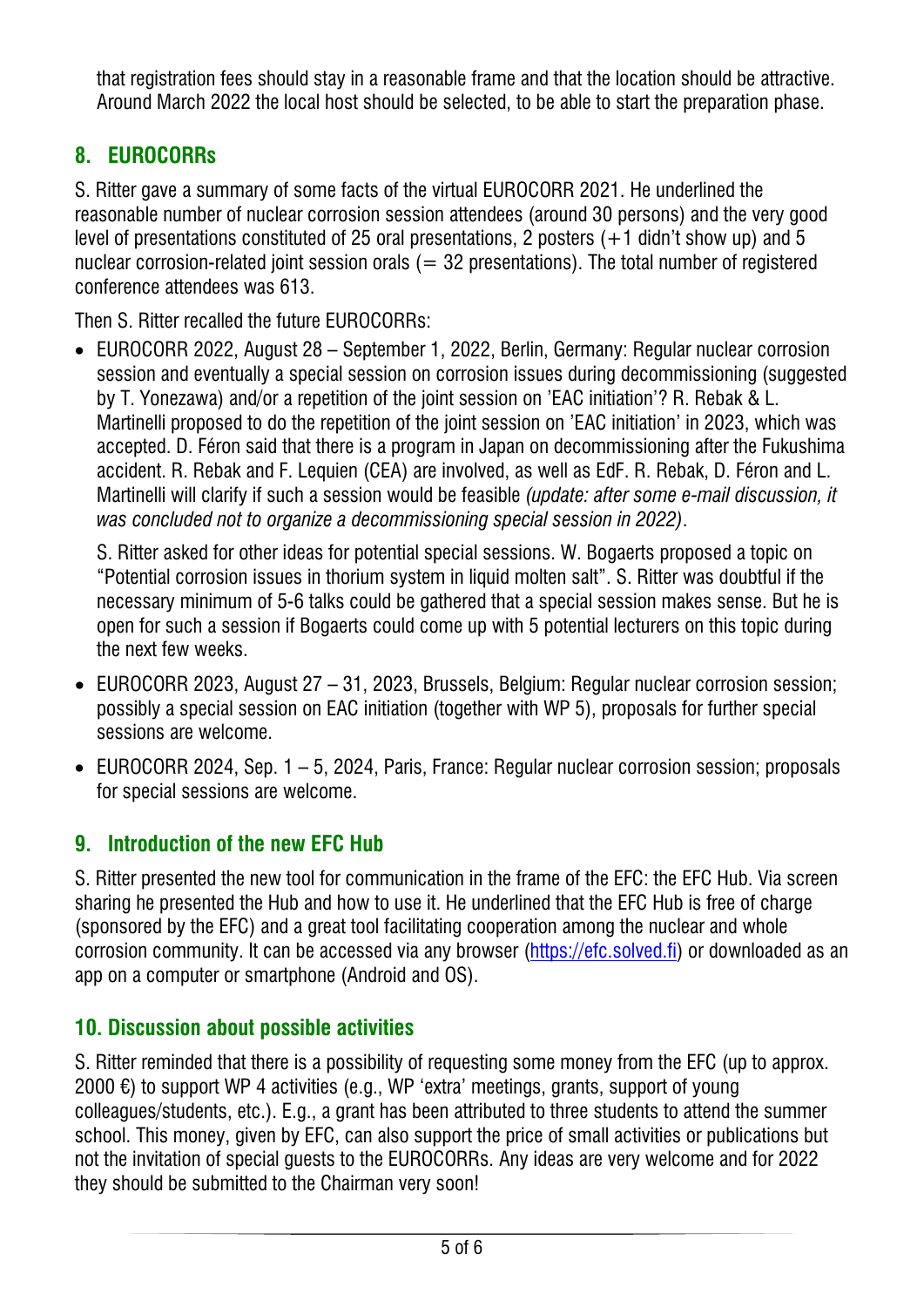that registration fees should stay in a reasonable frame and that the location should be attractive. Around March 2022 the local host should be selected, to be able to start the preparation phase.

## **8. EUROCORRs**

S. Ritter gave a summary of some facts of the virtual EUROCORR 2021. He underlined the reasonable number of nuclear corrosion session attendees (around 30 persons) and the very good level of presentations constituted of 25 oral presentations, 2 posters  $(+1)$  didn't show up) and 5 nuclear corrosion-related joint session orals  $(= 32$  presentations). The total number of registered conference attendees was 613.

Then S. Ritter recalled the future EUROCORRs:

• EUROCORR 2022, August 28 – September 1, 2022, Berlin, Germany: Regular nuclear corrosion session and eventually a special session on corrosion issues during decommissioning (suggested by T. Yonezawa) and/or a repetition of the joint session on 'EAC initiation'? R. Rebak & L. Martinelli proposed to do the repetition of the joint session on 'EAC initiation' in 2023, which was accepted. D. Féron said that there is a program in Japan on decommissioning after the Fukushima accident. R. Rebak and F. Lequien (CEA) are involved, as well as EdF. R. Rebak, D. Féron and L. Martinelli will clarify if such a session would be feasible *(update: after some e-mail discussion, it was concluded not to organize a decommissioning special session in 2022)*.

S. Ritter asked for other ideas for potential special sessions. W. Bogaerts proposed a topic on "Potential corrosion issues in thorium system in liquid molten salt". S. Ritter was doubtful if the necessary minimum of 5-6 talks could be gathered that a special session makes sense. But he is open for such a session if Bogaerts could come up with 5 potential lecturers on this topic during the next few weeks.

- EUROCORR 2023, August 27 31, 2023, Brussels, Belgium: Regular nuclear corrosion session; possibly a special session on EAC initiation (together with WP 5), proposals for further special sessions are welcome.
- EUROCORR 2024, Sep. 1 5, 2024, Paris, France: Regular nuclear corrosion session; proposals for special sessions are welcome.

### **9. Introduction of the new EFC Hub**

S. Ritter presented the new tool for communication in the frame of the EFC: the EFC Hub. Via screen sharing he presented the Hub and how to use it. He underlined that the EFC Hub is free of charge (sponsored by the EFC) and a great tool facilitating cooperation among the nuclear and whole corrosion community. It can be accessed via any browser [\(https://efc.solved.fi\)](https://efc.solved.fi/) or downloaded as an app on a computer or smartphone (Android and OS).

#### **10. Discussion about possible activities**

S. Ritter reminded that there is a possibility of requesting some money from the EFC (up to approx. 2000 €) to support WP 4 activities (e.g., WP 'extra' meetings, grants, support of young colleagues/students, etc.). E.g., a grant has been attributed to three students to attend the summer school. This money, given by EFC, can also support the price of small activities or publications but not the invitation of special guests to the EUROCORRs. Any ideas are very welcome and for 2022 they should be submitted to the Chairman very soon!